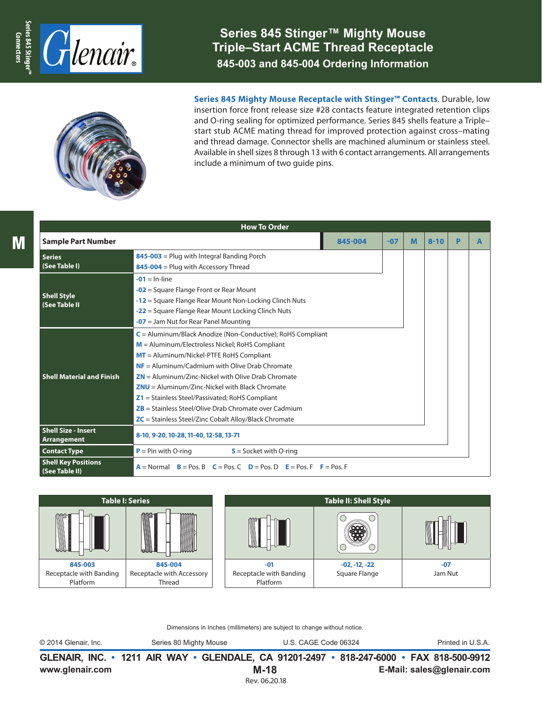

## **Series 845 Stinger™ Mighty Mouse Triple–Start ACME Thread Receptacle 845-003 and 845-004 Ordering Information**



**Series 845 Mighty Mouse Receptacle with Stinger™ Contacts**. Durable, low insertion force front release size #28 contacts feature integrated retention clips and O-ring sealing for optimized performance. Series 845 shells feature a Triple– start stub ACME mating thread for improved protection against cross–mating and thread damage. Connector shells are machined aluminum or stainless steel. Available in shell sizes 8 through 13 with 6 contact arrangements. All arrangements include a minimum of two guide pins.

|                                                  | <b>How To Order</b>                                                                                                                                                                                                                                                                                                                                                                                                                                                                                                  |         |       |   |          |   |   |
|--------------------------------------------------|----------------------------------------------------------------------------------------------------------------------------------------------------------------------------------------------------------------------------------------------------------------------------------------------------------------------------------------------------------------------------------------------------------------------------------------------------------------------------------------------------------------------|---------|-------|---|----------|---|---|
| <b>Sample Part Number</b>                        |                                                                                                                                                                                                                                                                                                                                                                                                                                                                                                                      | 845-004 | $-07$ | M | $8 - 10$ | P | A |
| <b>Series</b><br>(See Table I)                   | $845-003$ = Plug with Integral Banding Porch<br>845-004 = Plug with Accessory Thread                                                                                                                                                                                                                                                                                                                                                                                                                                 |         |       |   |          |   |   |
| <b>Shell Style</b><br>(See Table II              | $-01 = ln-line$<br>$-02$ = Square Flange Front or Rear Mount<br>$-12$ = Square Flange Rear Mount Non-Locking Clinch Nuts<br>-22 = Square Flange Rear Mount Locking Clinch Nuts<br>$-07$ = Jam Nut for Rear Panel Mounting                                                                                                                                                                                                                                                                                            |         |       |   |          |   |   |
| <b>Shell Material and Finish</b>                 | $C =$ Aluminum/Black Anodize (Non-Conductive); RoHS Compliant<br>$M =$ Aluminum/Electroless Nickel; RoHS Compliant<br>$MT =$ Aluminum/Nickel-PTFE RoHS Compliant<br>$NF =$ Aluminum/Cadmium with Olive Drab Chromate<br>$ZN =$ Aluminum/Zinc-Nickel with Olive Drab Chromate<br>$ZNU =$ Aluminum/Zinc-Nickel with Black Chromate<br>$Z1 =$ Stainless Steel/Passivated; RoHS Compliant<br>$ZB$ = Stainless Steel/Olive Drab Chromate over Cadmium<br>$\mathsf{ZC}$ = Stainless Steel/Zinc Cobalt Alloy/Black Chromate |         |       |   |          |   |   |
| <b>Shell Size - Insert</b><br><b>Arrangement</b> | 8-10, 9-20, 10-28, 11-40, 12-58, 13-71                                                                                                                                                                                                                                                                                                                                                                                                                                                                               |         |       |   |          |   |   |
| <b>Contact Type</b>                              | $P = Pin$ with O-ring<br>$S =$ Socket with O-ring                                                                                                                                                                                                                                                                                                                                                                                                                                                                    |         |       |   |          |   |   |
| <b>Shell Key Positions</b><br>(See Table II)     | $A = Normal$ $B = Pos$ . B $C = Pos$ . C $D = Pos$ . D $E = Pos$ . F $F = Pos$ . F                                                                                                                                                                                                                                                                                                                                                                                                                                   |         |       |   |          |   |   |



Dimensions in Inches (millimeters) are subject to change without notice.

© 2014 Glenair, Inc. Series 80 Mighty Mouse U.S. CAGE Code 06324 Printed in U.S.A.

**www.glenair.com E-Mail: sales@glenair.com GLENAIR, INC. • 1211 AIR WAY • GLENDALE, CA 91201-2497 • 818-247-6000 • FAX 818-500-9912 M-18** Rev. 06.20.18

M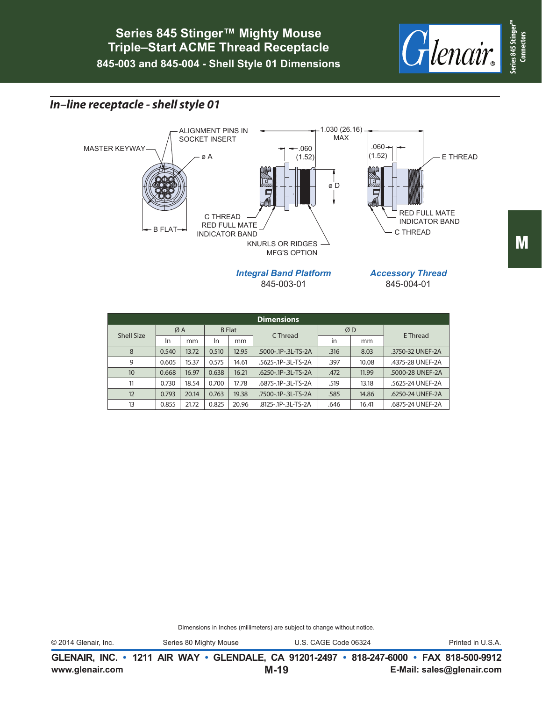

## *In–line receptacle - shell style 01*



|                   | <b>Dimensions</b> |       |               |       |                     |      |       |                  |  |  |  |  |  |  |
|-------------------|-------------------|-------|---------------|-------|---------------------|------|-------|------------------|--|--|--|--|--|--|
| <b>Shell Size</b> | ØA                |       | <b>B</b> Flat |       | C Thread            | ØD   |       | E Thread         |  |  |  |  |  |  |
|                   | In<br>mm          |       | In<br>mm      |       |                     | in   | mm    |                  |  |  |  |  |  |  |
| 8                 | 0.540             | 13.72 | 0.510         | 12.95 | .5000-.1P-.3L-TS-2A | .316 | 8.03  | .3750-32 UNEF-2A |  |  |  |  |  |  |
| 9                 | 0.605             | 15.37 | 0.575         | 14.61 | .5625-.1P-.3L-TS-2A | .397 | 10.08 | .4375-28 UNEF-2A |  |  |  |  |  |  |
| 10                | 0.668             | 16.97 | 0.638         | 16.21 | .6250-.1P-.3L-TS-2A | .472 | 11.99 | .5000-28 UNEF-2A |  |  |  |  |  |  |
| 11                | 0.730             | 18.54 | 0.700         | 17.78 | .6875-.1P-.3L-TS-2A | .519 | 13.18 | .5625-24 UNEF-2A |  |  |  |  |  |  |
| 12                | 0.793             | 20.14 | 0.763         | 19.38 | .7500-.1P-.3L-TS-2A | .585 | 14.86 | .6250-24 UNEF-2A |  |  |  |  |  |  |
| 13                | 0.855             | 21.72 | 0.825         | 20.96 | .8125-.1P-.3L-TS-2A | .646 | 16.41 | .6875-24 UNEF-2A |  |  |  |  |  |  |

Dimensions in Inches (millimeters) are subject to change without notice.

© 2014 Glenair, Inc. Series 80 Mighty Mouse U.S. CAGE Code 06324 Printed in U.S.A.

**www.glenair.com E-Mail: sales@glenair.com GLENAIR, INC. • 1211 AIR WAY • GLENDALE, CA 91201-2497 • 818-247-6000 • FAX 818-500-9912 M-19**

**Connectors**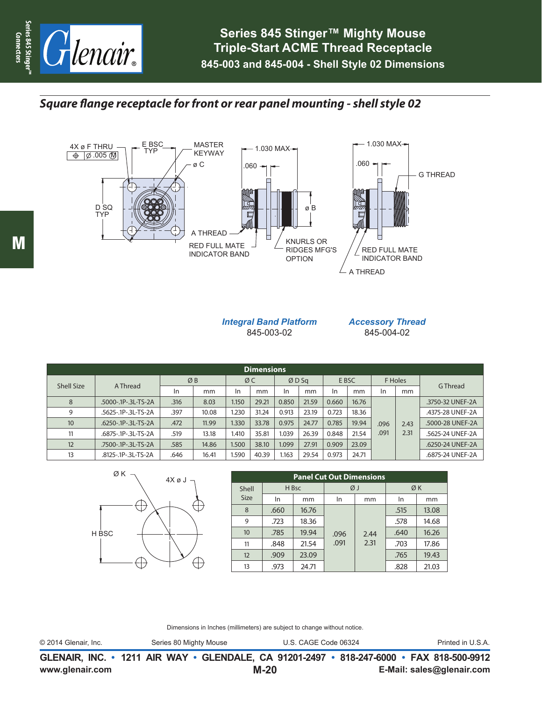

*Square flange receptacle for front or rear panel mounting - shell style 02*



## *Integral Band Platform* 845-003-02

*Accessory Thread* 845-004-02

| <b>Dimensions</b> |                     |               |       |             |       |       |       |       |       |         |      |                  |  |  |
|-------------------|---------------------|---------------|-------|-------------|-------|-------|-------|-------|-------|---------|------|------------------|--|--|
| <b>Shell Size</b> | A Thread            | ØB            |       | ØC          |       | ØDSq  |       | E BSC |       | F Holes |      | G Thread         |  |  |
|                   |                     | <sub>In</sub> | mm    | <b>In</b>   | mm    | In.   | mm    | In    | mm    | In      | mm   |                  |  |  |
| 8                 | .5000-.1P-.3L-TS-2A | .316          | 8.03  | <b>1.50</b> | 29.21 | 0.850 | 21.59 | 0.660 | 16.76 |         |      | .3750-32 UNEF-2A |  |  |
| 9                 | .5625-.1P-.3L-TS-2A | .397          | 10.08 | .230        | 31.24 | 0.913 | 23.19 | 0.723 | 18.36 |         |      | .4375-28 UNEF-2A |  |  |
| 10                | .6250-.1P-.3L-TS-2A | .472          | 11.99 | .330        | 33.78 | 0.975 | 24.77 | 0.785 | 19.94 | .096    | 2.43 | .5000-28 UNEF-2A |  |  |
| 11                | .6875-.1P-.3L-TS-2A | .519          | 13.18 | 1.410       | 35.81 | 1.039 | 26.39 | 0.848 | 21.54 | .091    | 2.31 | .5625-24 UNEF-2A |  |  |
| 12                | .7500-.1P-.3L-TS-2A | .585          | 14.86 | .500        | 38.10 | 1.099 | 27.91 | 0.909 | 23.09 |         |      | .6250-24 UNEF-2A |  |  |
| 13                | .8125-.1P-.3L-TS-2A | .646          | 16.41 | .590        | 40.39 | 1.163 | 29.54 | 0.973 | 24.71 |         |      | .6875-24 UNEF-2A |  |  |



| 4X ø J | <b>Panel Cut Out Dimensions</b> |      |       |              |      |      |       |  |  |  |  |  |
|--------|---------------------------------|------|-------|--------------|------|------|-------|--|--|--|--|--|
|        | <b>Shell</b>                    |      | H Bsc | ØJ           |      | ØΚ   |       |  |  |  |  |  |
|        | <b>Size</b>                     | In   | mm    | In           | mm   | In   | mm    |  |  |  |  |  |
|        | 8                               | .660 | 16.76 |              |      | .515 | 13.08 |  |  |  |  |  |
|        | 9                               | .723 | 18.36 | .096<br>.091 |      | .578 | 14.68 |  |  |  |  |  |
|        | 10                              | .785 | 19.94 |              | 2.44 | .640 | 16.26 |  |  |  |  |  |
|        | 11                              | .848 | 21.54 |              | 2.31 | .703 | 17.86 |  |  |  |  |  |
|        | 12                              | .909 | 23.09 |              |      | .765 | 19.43 |  |  |  |  |  |
|        | 13                              | .973 | 24.71 |              |      | .828 | 21.03 |  |  |  |  |  |

Dimensions in Inches (millimeters) are subject to change without notice.

© 2014 Glenair, Inc. Series 80 Mighty Mouse U.S. CAGE Code 06324 Printed in U.S.A.

**www.glenair.com E-Mail: sales@glenair.com GLENAIR, INC. • 1211 AIR WAY • GLENDALE, CA 91201-2497 • 818-247-6000 • FAX 818-500-9912 M-20**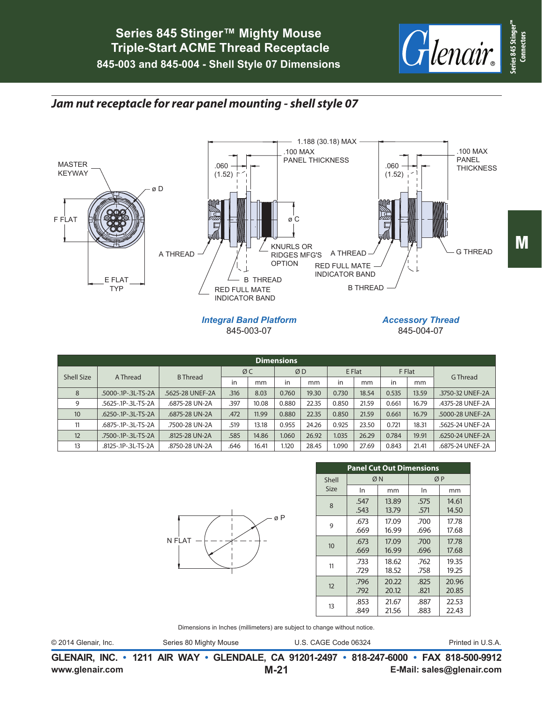

## *Jam nut receptacle for rear panel mounting - shell style 07*



845-003-07

*Accessory Thread* 845-004-07

|                               | <b>Dimensions</b>   |                  |      |       |       |       |        |       |               |       |                  |  |  |  |  |
|-------------------------------|---------------------|------------------|------|-------|-------|-------|--------|-------|---------------|-------|------------------|--|--|--|--|
| <b>Shell Size</b><br>A Thread |                     | <b>B</b> Thread  |      | ØC    | ØD    |       | E Flat |       | F Flat        |       | G Thread         |  |  |  |  |
|                               |                     | in               | mm   | in    | mm    | in    | mm     | in    | <sub>mm</sub> |       |                  |  |  |  |  |
| 8                             | .5000-.1P-.3L-TS-2A | .5625-28 UNEF-2A | .316 | 8.03  | 0.760 | 19.30 | 0.730  | 18.54 | 0.535         | 13.59 | .3750-32 UNEF-2A |  |  |  |  |
| 9                             | .5625-.1P-.3L-TS-2A | .6875-28 UN-2A   | .397 | 10.08 | 0.880 | 22.35 | 0.850  | 21.59 | 0.661         | 16.79 | .4375-28 UNEF-2A |  |  |  |  |
| 10                            | .6250-.1P-.3L-TS-2A | .6875-28 UN-2A   | .472 | 11.99 | 0.880 | 22.35 | 0.850  | 21.59 | 0.661         | 16.79 | .5000-28 UNEF-2A |  |  |  |  |
| 11                            | .6875-.1P-.3L-TS-2A | .7500-28 UN-2A   | .519 | 13.18 | 0.955 | 24.26 | 0.925  | 23.50 | 0.721         | 18.31 | .5625-24 UNEF-2A |  |  |  |  |
| 12                            | .7500-.1P-.3L-TS-2A | .8125-28 UN-2A   | .585 | 14.86 | 1.060 | 26.92 | 1.035  | 26.29 | 0.784         | 19.91 | .6250-24 UNEF-2A |  |  |  |  |
| 13                            | .8125-.1P-.3L-TS-2A | .8750-28 UN-2A   | .646 | 16.41 | 1.120 | 28.45 | 1.090  | 27.69 | 0.843         | 21.41 | .6875-24 UNEF-2A |  |  |  |  |



|                  | <b>Panel Cut Out Dimensions</b> |       |      |       |  |  |  |  |  |  |  |  |
|------------------|---------------------------------|-------|------|-------|--|--|--|--|--|--|--|--|
| Shell            | ØN                              |       | ØΡ   |       |  |  |  |  |  |  |  |  |
| Size             | In                              | mm    | In   | mm    |  |  |  |  |  |  |  |  |
| 8                | .547                            | 13.89 | .575 | 14.61 |  |  |  |  |  |  |  |  |
|                  | .543                            | 13.79 | .571 | 14.50 |  |  |  |  |  |  |  |  |
| 9                | .673                            | 17.09 | .700 | 17.78 |  |  |  |  |  |  |  |  |
|                  | .669                            | 16.99 | .696 | 17.68 |  |  |  |  |  |  |  |  |
| 10 <sup>10</sup> | .673                            | 17.09 | .700 | 17.78 |  |  |  |  |  |  |  |  |
|                  | .669                            | 16.99 | .696 | 17.68 |  |  |  |  |  |  |  |  |
| 11               | .733                            | 18.62 | .762 | 19.35 |  |  |  |  |  |  |  |  |
|                  | .729                            | 18.52 | .758 | 19.25 |  |  |  |  |  |  |  |  |
| 12               | .796                            | 20.22 | .825 | 20.96 |  |  |  |  |  |  |  |  |
|                  | .792                            | 20.12 | .821 | 20.85 |  |  |  |  |  |  |  |  |
| 13               | .853                            | 21.67 | .887 | 22.53 |  |  |  |  |  |  |  |  |
|                  | .849                            | 21.56 | .883 | 22.43 |  |  |  |  |  |  |  |  |

Dimensions in Inches (millimeters) are subject to change without notice.

© 2014 Glenair, Inc. Series 80 Mighty Mouse U.S. CAGE Code 06324 Printed in U.S.A.

**www.glenair.com E-Mail: sales@glenair.com GLENAIR, INC. • 1211 AIR WAY • GLENDALE, CA 91201-2497 • 818-247-6000 • FAX 818-500-9912 M-21**

**Connectors**